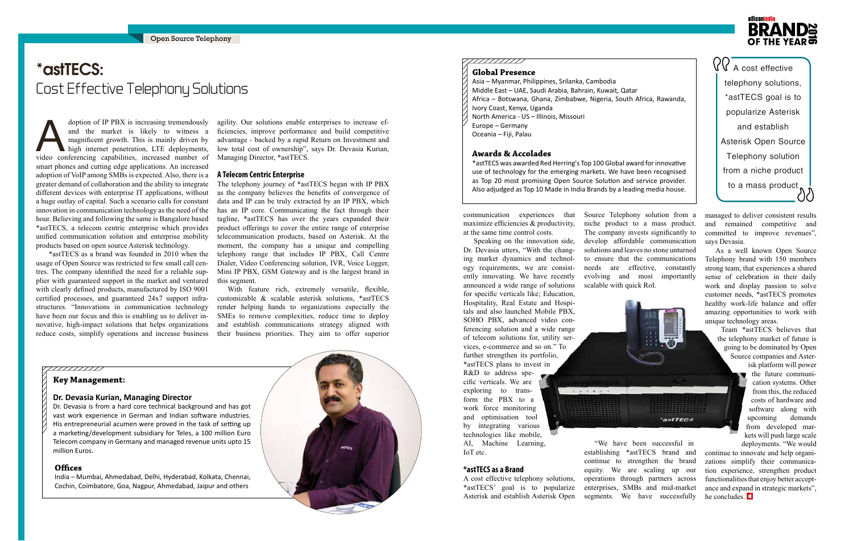doption of IP PBX is increasing tremendously<br>and the market is likely to witness a<br>magnificent growth. This is mainly driven by<br>high internet penetration, LTE deployments,<br>video conferencing capabilities, increased number and the market is likely to witness a magnificent growth. This is mainly driven by high internet penetration, LTE deployments, video conferencing capabilities, increased number of smart phones and cutting edge applications. An increased adoption of VoIP among SMBs is expected. Also, there is a greater demand of collaboration and the ability to integrate different devices with enterprise IT applications, without a huge outlay of capital. Such a scenario calls for constant innovation in communication technology as the need of the hour. Believing and following the same is Bangalore based \*astTECS, a telecom centric enterprise which provides unified communication solution and enterprise mobility products based on open source Asterisk technology.

 \*astTECS as a brand was founded in 2010 when the usage of Open Source was restricted to few small call centres. The company identified the need for a reliable supplier with guaranteed support in the market and ventured with clearly defined products, manufactured by ISO 9001 certified processes, and guaranteed 24x7 support infrastructures. "Innovations in communication technology have been our focus and this is enabling us to deliver innovative, high-impact solutions that helps organizations reduce costs, simplify operations and increase business

agility. Our solutions enable enterprises to increase efficiencies, improve performance and build competitive advantage - backed by a rapid Return on Investment and low total cost of ownership", says Dr. Devasia Kurian, Managing Director, \*astTECS.

# **\*astTECS: \*astTECS:** Cost Effective Telephony Solutions Cost Effective Telephony Solutions

#### **A Telecom Centric Enterprise**

The telephony journey of \*astTECS began with IP PBX as the company believes the benefits of convergence of data and IP can be truly extracted by an IP PBX, which has an IP core. Communicating the fact through their tagline, \*astTECS has over the years expanded their product offerings to cover the entire range of enterprise telecommunication products, based on Asterisk. At the moment, the company has a unique and compelling telephony range that includes IP PBX, Call Centre Dialer, Video Conferencing solution, IVR, Voice Logger, Mini IP PBX, GSM Gateway and is the largest brand in this segment.

> "We have been successful in establishing \*astTECS brand and continue to strengthen the brand equity. We are scaling up our operations through partners across enterprises, SMBs and mid-market segments. We have successfully

## silieonindi: **BRAN** OF THE YEAR

 $QQ$   $\overline{A}$  cost effective telephony solutions, \*astTECS goal is to popularize Asterisk and establish Asterisk Open Source Telephony solution from a niche product to a mass product  $\bigwedge^{\bullet}$ 

With feature rich, extremely versatile, flexible, customizable & scalable asterisk solutions, \*astTECS render helping hands to organizations especially the SMEs to remove complexities, reduce time to deploy and establish communications strategy aligned with their business priorities. They aim to offer superior

continue to innovate and help organizations simplify their communication experience, strengthen product functionalities that enjoy better acceptance and expand in strategic markets", he concludes. **si** 



#### ,,,,,,,,,,,

communication experiences that maximize efficiencies & productivity, at the same time control costs.

Speaking on the innovation side, Dr. Devasia utters, "With the changing market dynamics and technology requirements, we are consistently innovating. We have recently announced a wide range of solutions for specific verticals like; Education, Hospitality, Real Estate and Hospitals and also launched Mobile PBX, SOHO PBX, advanced video conferencing solution and a wide range of telecom solutions for, utility services, e-commerce and so on." To further strengthen its portfolio, \*astTECS plans to invest in R&D to address specific verticals. We are exploring to transform the PBX to a work force monitoring and optimisation tool by integrating various technologies like mobile, AI, Machine Learning,

IoT etc.

**\*astTECS as a Brand** 

A cost effective telephony solutions, \*astTECS' goal is to popularize Asterisk and establish Asterisk Open

Source Telephony solution from a niche product to a mass product. The company invests significantly to develop affordable communication solutions and leaves no stone unturned to ensure that the communications needs are effective, constantly evolving and most importantly scalable with quick RoI.



managed to deliver consistent results and remained competitive and committed to improve revenues", says Devasia.

As a well known Open Source Telephony brand with 150 members strong team, that experiences a shared sense of celebration in their daily work and display passion to solve customer needs, \*astTECS promotes healthy work-life balance and offer amazing opportunities to work with unique technology areas.

Team \*astTECS believes that the telephony market of future is going to be dominated by Open Source companies and Asterisk platform will power the future communication systems. Other from this, the reduced costs of hardware and software along with upcoming demands from developed markets will push large scale deployments. "We would

#### **Global Presence**

- Asia Myanmar, Philippines, Srilanka, Cambodia
- Middle East UAE, Saudi Arabia, Bahrain, Kuwait, Qatar
- Africa Botswana, Ghana, Zimbabwe, Nigeria, South Africa, Rawanda,
- Ivory Coast, Kenya, Uganda
- North America US Illinois, Missouri
- Europe Germany
- Oceania Fiji, Palau

#### **Awards & Accolades**

\*astTECS was awarded Red Herring's Top 100 Global award for innovative use of technology for the emerging markets. We have been recognised as Top 20 most promising Open Source Solution and service provider. Also adjudged as Top 10 Made in India Brands by a leading media house.